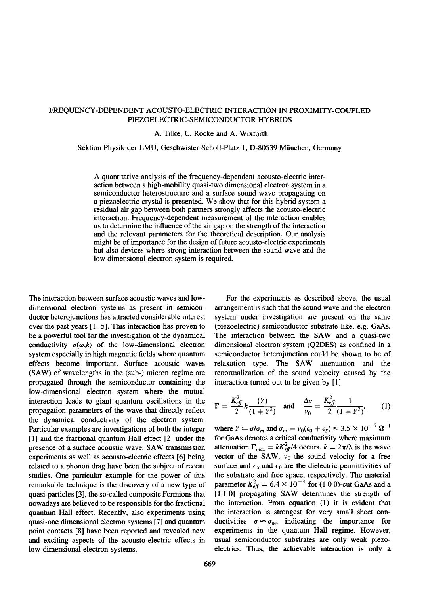## FREQUENCY-DEPENDENT ACOUSTO-ELECTRIC INTERACTION IN PROXIMITY-COUPLED PIEZOELECTRIC-SEMICONDUCTOR HYBRIDS

A. Tilke, C. Rocke and A. Wixforth

## Sektion Physik der LMU, Geschwister Scholl-Platz 1, D-80539 München, Germany

A quantitative analysis of the frequency-dependent acousto-electric interaction between a high-mobility quasi-two dimensional electron system in a semiconductor heterostructure and a surface sound wave propagating on a piezoelectric crystal is presented. We show that for this hybrid system a residual air gap between both partners strongly affects the acousto-electric interaction. Frequency-dependent measurement of the interaction enables us to determine the influence of the air gap on the strength of the interaction and the relevant parameters for the theoretical description. Our analysis might be of importance for the design of future acousto-electric experiments but also devices where strong interaction between the sound wave and the low dimensional electron system is required.

The interaction between surface acoustic waves and lowdimensional electron systems as present in semiconductor heterojunctions has attracted considerable interest over the past years [l-5]. This interaction has proven to be a powerful tool for the investigation of the dynamical conductivity  $\sigma(\omega, k)$  of the low-dimensional electron system especially in high magnetic fields where quantum effects become important. Surface acoustic waves (SAW) of wavelengths in the (sub-) micron regime are propagated through the semiconductor containing the low-dimensional electron system where the mutual interaction leads to giant quantum oscillations in the propagation parameters of the wave that directly reflect the dynamical conductivity of the electron system. Particular examples are investigations of both the integer [l] and the fractional quantum Hall effect [2] under the presence of a surface acoustic wave. SAW transmission experiments as well as acousto-electric effects [6] being related to a phonon drag have been the subject of recent studies. One particular example for the power of this remarkable technique is the discovery of a new type of quasi-particles [3], the so-called composite Fermions that nowadays are believed to be responsible for the fractional quantum Hall effect. Recently, also experiments using quasi-one dimensional electron systems [7] and quantum point contacts [8] have been reported and revealed new and exciting aspects of the acousto-electric effects in low-dimensional electron systems.

For the experiments as described above, the usual arrangement is such that the sound wave and the electron system under investigation are present on the same (piezoelectric) semiconductor substrate like, e.g. GaAs. The interaction between the SAW and a quasi-two dimensional electron system (Q2DES) as confined in a semiconductor heterojunction could be shown to be of relaxation type. The SAW attenuation and the renormalization of the sound velocity caused by the interaction turned out to be given by [l]

$$
\Gamma = \frac{K_{\text{eff}}^2}{2} k \frac{(Y)}{(1+Y^2)} \quad \text{and} \quad \frac{\Delta v}{v_0} = \frac{K_{\text{eff}}^2}{2} \frac{1}{(1+Y^2)},\tag{1}
$$

where  $Y = \sigma/\sigma_m$  and  $\sigma_m = v_0(\epsilon_0 + \epsilon_S) \approx 3.5 \times 10^{-7} \Omega^{-1}$ for GaAs denotes a critical conductivity where maximum attenuation  $\Gamma_{max} = kK_{\text{eff}}^2/4$  occurs.  $k = 2\pi/\lambda$  is the wave vector of the SAW,  $v_0$  the sound velocity for a free surface and  $\epsilon_s$  and  $\epsilon_0$  are the dielectric permittivities of the substrate and free space, respectively. The material parameter  $K_{\text{eff}}^{\text{v}} = 6.4 \times 10^{-4}$  for (100)-cut Ga [1 1 0] propagating SAW determines the strength of the interaction. From equation (1) it is evident that the interaction is strongest for very small sheet conductivities  $\sigma \approx \sigma_m$ , indicating the importance for experiments in the quantum Hall regime. However, usual semiconductor substrates are only weak piezoelectrics. Thus, the achievable interaction is only a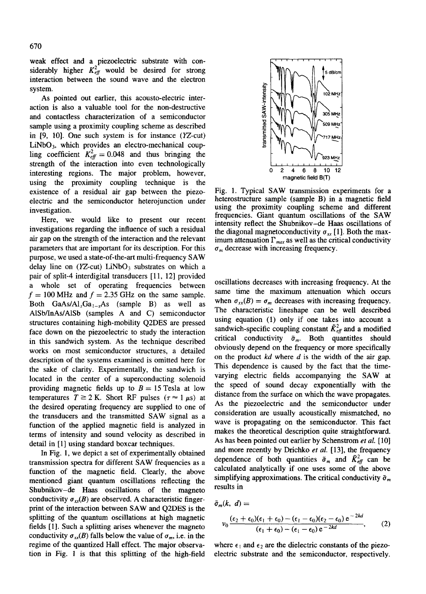weak effect and a piezoelectric substrate with considerably higher  $K_{\text{eff}}^2$  would be desired for strong interaction between the sound wave and the electron system.

As pointed out earlier, this acousto-electric interaction is also a valuable tool for the non-destructive and contactless characterization of a semiconductor sample using a proximity coupling scheme as described in  $[9, 10]$ . One such system is for instance  $(YZ-cut)$  $LiNbO<sub>3</sub>$ , which provides an electro-mechanical coupling coefficient  $K_{\text{eff}}^2 = 0.048$  and thus bringing the strength of the interaction into even technologically interesting regions. The major problem, however, using the proximity coupling technique is the existence of a residual air gap between the piezoelectric and the semiconductor heterojunction under investigation.

Here, we would like to present our recent investigations regarding the influence of such a residual air gap on the strength of the interaction and the relevant parameters that are important for its description. For this purpose, we used a state-of-the-art multi-frequency SAW delay line on  $(YZ$ -cut) LiNbO<sub>3</sub> substrates on which a pair of split-4 interdigital transducers [11, 121 provided a whole set of operating frequencies between  $f = 100$  MHz and  $f = 2.35$  GHz on the same sample. Both GaAs/Al<sub>r</sub>Ga<sub>1-r</sub>As (sample B) as well as AlSb/InAs/AlSb (samples A and C) semiconductor structures containing high-mobility Q2DES are pressed face down on the piezoelectric to study the interaction in this sandwich system. As the technique described works on most semiconductor structures, a detailed description of the systems examined is omitted here for the sake of clarity. Experimentally, the sandwich is located in the center of a superconducting solenoid providing magnetic fields up to  $B = 15$  Tesla at low temperatures  $T \ge 2$  K. Short RF pulses ( $\tau \approx 1 \mu s$ ) at the desired operating frequency are supplied to one of the transducers and the transmitted SAW signal as a function of the applied magnetic field is analyzed in terms of intensity and sound velocity as described in detail in [l] using standard boxcar techniques.

In Fig. 1, we depict a set of experimentally obtained transmission spectra for different SAW frequencies as a function of the magnetic field. Clearly, the above mentioned giant quantum oscillations reflecting the Shubnikov-de Haas oscillations of the magneto conductivity  $\sigma_{rr}(B)$  are observed. A characteristic fingerprint of the interaction between SAW and Q2DES is the splitting of the quantum oscillations at high magnetic fields [I]. Such a splitting arises whenever the magneto conductivity  $\sigma_{xx}(B)$  falls below the value of  $\sigma_m$ , i.e. in the regime of the quantized Hall effect. The major observation in Fig. I is that this splitting of the high-field



Fig. 1. Typical SAW transmission experiments for a heterostructure sample (sample B) in a magnetic field using the proximity coupling scheme and different frequencies. Giant quantum oscillations of the SAW intensity reflect the Shubnikov-de Haas oscillations of the diagonal magnetoconductivity  $\sigma_{xx}$  [1]. Both the maximum attenuation  $\Gamma_{max}$  as well as the critical conductivity  $\sigma_m$  decrease with increasing frequency.

oscillations decreases with increasing frequency. At the same time the maximum attenuation which occurs when  $\sigma_{xx}(B) = \sigma_m$  decreases with increasing frequency. The characteristic lineshape can be well described using equation (1) only if one takes into account a sandwich-specific coupling constant  $\tilde{K}_{\text{eff}}^2$  and a modified critical conductivity  $\tilde{\sigma}_m$ . Both quantities should obviously depend on the frequency or more specifically on the product *kd* where *d* is the width of the air gap. This dependence is caused by the fact that the timevarying electric fields accompanying the SAW at the speed of sound decay exponentially with the distance from the surface on which the wave propagates. As the piezoelectric and the semiconductor under consideration are usually acoustically mismatched, no wave is propagating on the semiconductor. This fact makes the theoretical description quite straightforward. As has been pointed out earlier by Schenstrom et *al. [lo]* and more recently by Drichko  $et$  al. [13], the frequency dependence of both quantities  $\tilde{\sigma}_m$  and  $\tilde{K}_{\text{eff}}^2$  can be calculated analytically if one uses some of the above simplifying approximations. The critical conductivity  $\tilde{\sigma}_m$ results in

$$
\tilde{\sigma}_m(k, d) =
$$
\n
$$
v_0 \frac{(\epsilon_2 + \epsilon_0)(\epsilon_1 + \epsilon_0) - (\epsilon_1 - \epsilon_0)(\epsilon_2 - \epsilon_0) e^{-2kd}}{(\epsilon_1 + \epsilon_0) - (\epsilon_1 - \epsilon_0) e^{-2kd}},
$$
\n(2)

where  $\epsilon_1$  and  $\epsilon_2$  are the dielectric constants of the piezoelectric substrate and the semiconductor, respectively.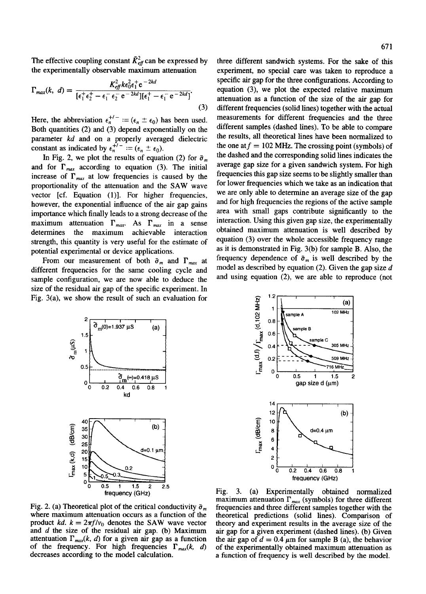The effective coupling constant  $\tilde{K}^2_{\text{eff}}$  can be expressed by the experimentally observable maximum attenuation

$$
\Gamma_{max}(k, d) = \frac{K_{\text{eff}}^2 k \epsilon_0^2 \epsilon_1^+ e^{-2kd}}{[\epsilon_1^+ \epsilon_2^+ - \epsilon_1^- \epsilon_2^- e^{-2kd}] [\epsilon_1^+ - \epsilon_1^- e^{-2kd}]}
$$
\n(3)

Here, the abbreviation  $\epsilon_n^{+/-} := (\epsilon_n \pm \epsilon_0)$  has been used. Both quantities (2) and (3) depend exponentially on the parameter *kd* and on a properly averaged dielectri constant as indicated by  $\epsilon_n^{\tau\tau} := (\epsilon_n \pm \epsilon_0)$ .

In Fig. 2, we plot the results of equation (2) for  $\tilde{\sigma}_m$ and for  $\Gamma_{max}$  according to equation (3). The initial increase of  $\Gamma_{max}$  at low frequencies is caused by the proportionality of the attenuation and the SAW wave vector [cf. Equation (1)]. For higher frequencies, however, the exponential influence of the air gap gains importance which finally leads to a strong decrease of the maximum attenuation  $\Gamma_{max}$ . As  $\Gamma_{max}$  in a sense determines the maximum achievable interaction strength, this quantity is very useful for the estimate of potential experimental or device applications.

From our measurement of both  $\tilde{\sigma}_m$  and  $\Gamma_{max}$  at different frequencies for the same cooling cycle and sample configuration, we are now able to deduce the size of the residual air gap of the specific experiment. In Fig. 3(a), we show the result of such an evaluation for

three different sandwich systems. For the sake of this experiment, no special care was taken to reproduce a specific air gap for the three configurations. According to equation (3), we plot the expected relative maximum attenuation as a function of the size of the air gap for different frequencies (solid lines) together with the actual measurements for different frequencies and the three different samples (dashed lines). To be able to compare the results, all theoretical lines have been normalized to the one at  $f = 102$  MHz. The crossing point (symbols) of the dashed and the corresponding solid lines indicates the average gap size for a given sandwich system. For high frequencies this gap size seems to be slightly smaller than for lower frequencies which we take as an indication that we are only able to determine an average size of the gap and for high frequencies the regions of the active sample area with small gaps contribute significantly to the interaction. Using this given gap size, the experimentally obtained maximum attenuation is well described by equation (3) over the whole accessible frequency range as it is demonstrated in Fig. 3(b) for sample B. Also, the frequency dependence of  $\tilde{\sigma}_m$  is well described by the model as described by equation (2). Given the gap size *d* and using equation (2), we are able to reproduce (not





Fig. 2. (a) Theoretical plot of the critical conductivity  $\tilde{\sigma}_m$ where maximum attenuation occurs as a function of the product *kd.*  $k = 2\pi f/v_0$  denotes the SAW wave vector and *d the* size of the residual air gap. (b) Maximum attentuation  $\Gamma_{max}(k, d)$  for a given air gap as a function of the frequency. For high frequencies  $\Gamma_{max}(k, d)$ decreases according to the model calculation.

Fig. 3. (a) Experimentally obtained normalized maximum attenuation  $\Gamma_{max}$  (symbols) for three different frequencies and three different samples together with the theoretical predictions (solid lines). Comparison of theory and experiment results in the average size of the air gap for a given experiment (dashed lines). (b) Given the air gap of  $d = 0.4 \mu m$  for sample B (a), the behavior of the experimentally obtained maximum attenuation as a function of frequency is well described by the model.